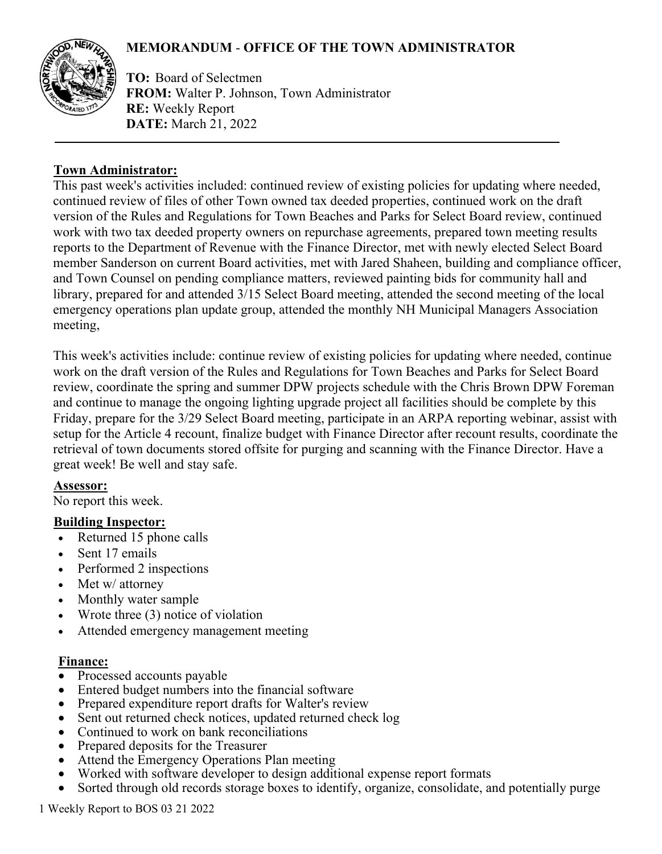# **MEMORANDUM** - **OFFICE OF THE TOWN ADMINISTRATOR**



**TO:** Board of Selectmen **FROM:** Walter P. Johnson, Town Administrator **RE:** Weekly Report **DATE:** March 21, 2022

### **Town Administrator:**

This past week's activities included: continued review of existing policies for updating where needed, continued review of files of other Town owned tax deeded properties, continued work on the draft version of the Rules and Regulations for Town Beaches and Parks for Select Board review, continued work with two tax deeded property owners on repurchase agreements, prepared town meeting results reports to the Department of Revenue with the Finance Director, met with newly elected Select Board member Sanderson on current Board activities, met with Jared Shaheen, building and compliance officer, and Town Counsel on pending compliance matters, reviewed painting bids for community hall and library, prepared for and attended 3/15 Select Board meeting, attended the second meeting of the local emergency operations plan update group, attended the monthly NH Municipal Managers Association meeting,

This week's activities include: continue review of existing policies for updating where needed, continue work on the draft version of the Rules and Regulations for Town Beaches and Parks for Select Board review, coordinate the spring and summer DPW projects schedule with the Chris Brown DPW Foreman and continue to manage the ongoing lighting upgrade project all facilities should be complete by this Friday, prepare for the 3/29 Select Board meeting, participate in an ARPA reporting webinar, assist with setup for the Article 4 recount, finalize budget with Finance Director after recount results, coordinate the retrieval of town documents stored offsite for purging and scanning with the Finance Director. Have a great week! Be well and stay safe.

# **Assessor:**

No report this week.

# **Building Inspector:**

- Returned 15 phone calls
- Sent 17 emails
- Performed 2 inspections
- Met w/ attorney
- Monthly water sample
- Wrote three  $(3)$  notice of violation
- Attended emergency management meeting

#### **Finance:**

- Processed accounts payable
- Entered budget numbers into the financial software
- Prepared expenditure report drafts for Walter's review
- Sent out returned check notices, updated returned check log
- Continued to work on bank reconciliations
- Prepared deposits for the Treasurer
- Attend the Emergency Operations Plan meeting
- Worked with software developer to design additional expense report formats
- Sorted through old records storage boxes to identify, organize, consolidate, and potentially purge

1 Weekly Report to BOS 03 21 2022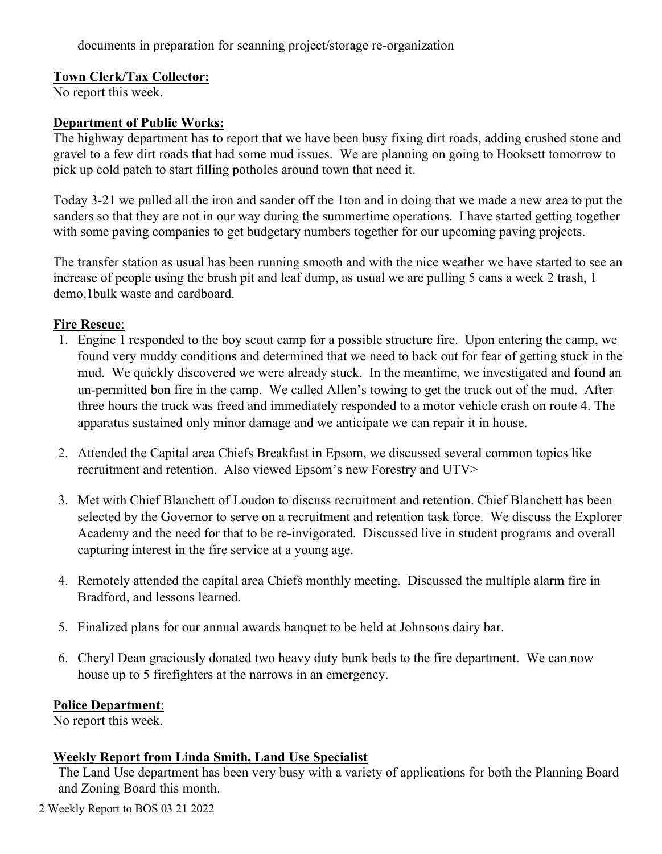documents in preparation for scanning project/storage re-organization

#### **Town Clerk/Tax Collector:**

No report this week.

### **Department of Public Works:**

The highway department has to report that we have been busy fixing dirt roads, adding crushed stone and gravel to a few dirt roads that had some mud issues. We are planning on going to Hooksett tomorrow to pick up cold patch to start filling potholes around town that need it.

Today 3-21 we pulled all the iron and sander off the 1ton and in doing that we made a new area to put the sanders so that they are not in our way during the summertime operations. I have started getting together with some paving companies to get budgetary numbers together for our upcoming paving projects.

The transfer station as usual has been running smooth and with the nice weather we have started to see an increase of people using the brush pit and leaf dump, as usual we are pulling 5 cans a week 2 trash, 1 demo,1bulk waste and cardboard.

#### **Fire Rescue**:

- 1. Engine 1 responded to the boy scout camp for a possible structure fire. Upon entering the camp, we found very muddy conditions and determined that we need to back out for fear of getting stuck in the mud. We quickly discovered we were already stuck. In the meantime, we investigated and found an un-permitted bon fire in the camp. We called Allen's towing to get the truck out of the mud. After three hours the truck was freed and immediately responded to a motor vehicle crash on route 4. The apparatus sustained only minor damage and we anticipate we can repair it in house.
- 2. Attended the Capital area Chiefs Breakfast in Epsom, we discussed several common topics like recruitment and retention. Also viewed Epsom's new Forestry and UTV>
- 3. Met with Chief Blanchett of Loudon to discuss recruitment and retention. Chief Blanchett has been selected by the Governor to serve on a recruitment and retention task force. We discuss the Explorer Academy and the need for that to be re-invigorated. Discussed live in student programs and overall capturing interest in the fire service at a young age.
- 4. Remotely attended the capital area Chiefs monthly meeting. Discussed the multiple alarm fire in Bradford, and lessons learned.
- 5. Finalized plans for our annual awards banquet to be held at Johnsons dairy bar.
- 6. Cheryl Dean graciously donated two heavy duty bunk beds to the fire department. We can now house up to 5 firefighters at the narrows in an emergency.

# **Police Department**:

No report this week.

# **Weekly Report from Linda Smith, Land Use Specialist**

The Land Use department has been very busy with a variety of applications for both the Planning Board and Zoning Board this month.